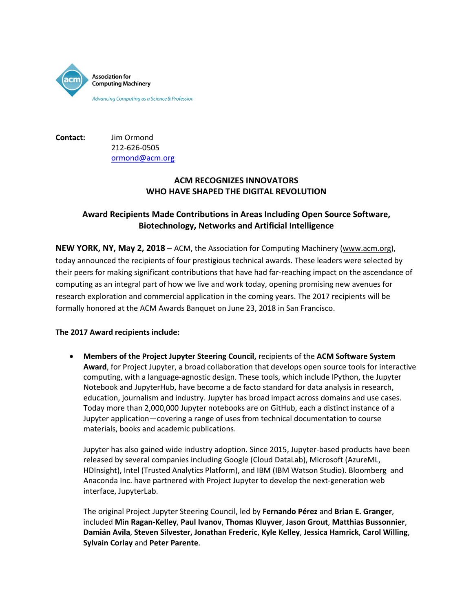

**Contact:** Jim Ormond 212-626-0505 [ormond@acm.org](mailto:ormond@acm.org)

## **ACM RECOGNIZES INNOVATORS WHO HAVE SHAPED THE DIGITAL REVOLUTION**

## **Award Recipients Made Contributions in Areas Including Open Source Software, Biotechnology, Networks and Artificial Intelligence**

**NEW YORK, NY, May 2, 2018** – ACM, the Association for Computing Machinery [\(www.acm.org\)](http://www.acm.org/), today announced the recipients of four prestigious technical awards. These leaders were selected by their peers for making significant contributions that have had far-reaching impact on the ascendance of computing as an integral part of how we live and work today, opening promising new avenues for research exploration and commercial application in the coming years. The 2017 recipients will be formally honored at the ACM Awards Banquet on June 23, 2018 in San Francisco.

## **The 2017 Award recipients include:**

• **Members of the Project Jupyter Steering Council,** recipients of the **ACM Software System Award**, for Project Jupyter, a broad collaboration that develops open source tools for interactive computing, with a language-agnostic design. These tools, which include IPython, the Jupyter Notebook and JupyterHub, have become a de facto standard for data analysis in research, education, journalism and industry. Jupyter has broad impact across domains and use cases. Today more than 2,000,000 Jupyter notebooks are on GitHub, each a distinct instance of a Jupyter application—covering a range of uses from technical documentation to course materials, books and academic publications.

Jupyter has also gained wide industry adoption. Since 2015, Jupyter-based products have been released by several companies including Google (Cloud DataLab), Microsoft (AzureML, HDInsight), Intel (Trusted Analytics Platform), and IBM (IBM Watson Studio). Bloomberg and Anaconda Inc. have partnered with Project Jupyter to develop the next-generation web interface, JupyterLab.

The original Project Jupyter Steering Council, led by **Fernando Pérez** and **Brian E. Granger**, included **Min Ragan-Kelley**, **Paul Ivanov**, **Thomas Kluyver**, **Jason Grout**, **Matthias Bussonnier**, **Damián Avila**, **Steven Silvester, Jonathan Frederic**, **Kyle Kelley**, **Jessica Hamrick**, **Carol Willing**, **Sylvain Corlay** and **Peter Parente**.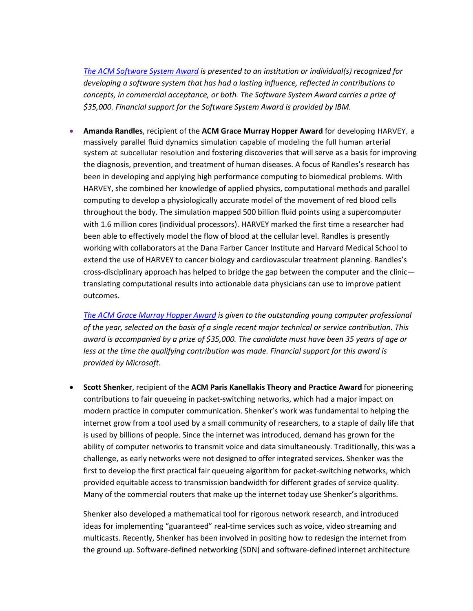*[The ACM Software System Award](http://awards.acm.org/software-system) is presented to an institution or individual(s) recognized for developing a software system that has had a lasting influence, reflected in contributions to concepts, in commercial acceptance, or both. The Software System Award carries a prize of \$35,000. Financial support for the Software System Award is provided by IBM.*

• **Amanda Randles**, recipient of the **ACM [Grace Murray Hopper Award](http://awards.acm.org/hopper/)** for developing HARVEY, a massively parallel fluid dynamics simulation capable of modeling the full human arterial system at subcellular resolution and fostering discoveries that will serve as a basis for improving the diagnosis, prevention, and treatment of human diseases. A focus of Randles's research has been in developing and applying high performance computing to biomedical problems. With HARVEY, she combined her knowledge of applied physics, computational methods and parallel computing to develop a physiologically accurate model of the movement of red blood cells throughout the body. The simulation mapped 500 billion fluid points using a supercomputer with 1.6 million cores (individual processors). HARVEY marked the first time a researcher had been able to effectively model the flow of blood at the cellular level. Randles is presently working with collaborators at the Dana Farber Cancer Institute and Harvard Medical School to extend the use of HARVEY to cancer biology and cardiovascular treatment planning. Randles's cross-disciplinary approach has helped to bridge the gap between the computer and the clinic translating computational results into actionable data physicians can use to improve patient outcomes.

*[The ACM Grace Murray Hopper Award](http://awards.acm.org/hopper) is given to the outstanding young computer professional of the year, selected on the basis of a single recent major technical or service contribution. This award is accompanied by a prize of \$35,000. The candidate must have been 35 years of age or less at the time the qualifying contribution was made. Financial support for this award is provided by Microsoft.* 

• **Scott Shenker**, recipient of the **ACM [Paris Kanellakis Theory and Practice Award](http://awards.acm.org/kanellakis/)** for pioneering contributions to fair queueing in packet-switching networks, which had a major impact on modern practice in computer communication. Shenker's work was fundamental to helping the internet grow from a tool used by a small community of researchers, to a staple of daily life that is used by billions of people. Since the internet was introduced, demand has grown for the ability of computer networks to transmit voice and data simultaneously. Traditionally, this was a challenge, as early networks were not designed to offer integrated services. Shenker was the first to develop the first practical fair queueing algorithm for packet-switching networks, which provided equitable access to transmission bandwidth for different grades of service quality. Many of the commercial routers that make up the internet today use Shenker's algorithms.

Shenker also developed a mathematical tool for rigorous network research, and introduced ideas for implementing "guaranteed" real-time services such as voice, video streaming and multicasts. Recently, Shenker has been involved in positing how to redesign the internet from the ground up. Software-defined networking (SDN) and software-defined internet architecture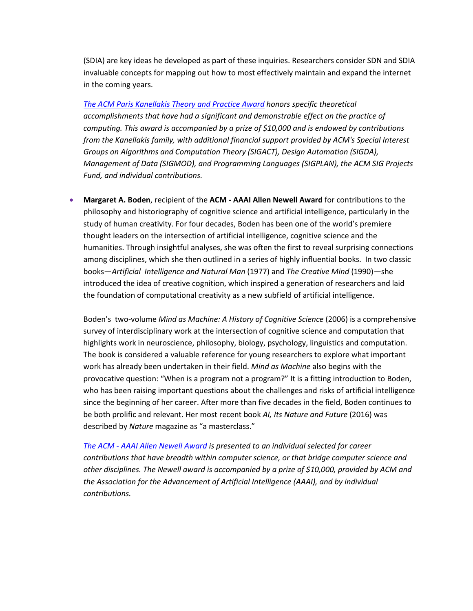(SDIA) are key ideas he developed as part of these inquiries. Researchers consider SDN and SDIA invaluable concepts for mapping out how to most effectively maintain and expand the internet in the coming years.

*[The ACM Paris Kanellakis Theory and Practice Award](http://awards.acm.org/kanellakis) honors specific theoretical accomplishments that have had a significant and demonstrable effect on the practice of computing. This award is accompanied by a prize of \$10,000 and is endowed by contributions from the Kanellakis family, with additional financial support provided by ACM's Special Interest Groups on Algorithms and Computation Theory (SIGACT), Design Automation (SIGDA), Management of Data (SIGMOD), and Programming Languages (SIGPLAN), the ACM SIG Projects Fund, and individual contributions.*

• **Margaret A. Boden**, recipient of the **ACM - [AAAI Allen Newell Award](http://awards.acm.org/newell/)** for contributions to the philosophy and historiography of cognitive science and artificial intelligence, particularly in the study of human creativity. For four decades, Boden has been one of the world's premiere thought leaders on the intersection of artificial intelligence, cognitive science and the humanities. Through insightful analyses, she was often the first to reveal surprising connections among disciplines, which she then outlined in a series of highly influential books. In two classic books—*Artificial Intelligence and Natural Man* (1977) and *The Creative Mind* (1990)*—*she introduced the idea of creative cognition, which inspired a generation of researchers and laid the foundation of computational creativity as a new subfield of artificial intelligence.

Boden's two-volume *Mind as Machine: A History of Cognitive Science* (2006) is a comprehensive survey of interdisciplinary work at the intersection of cognitive science and computation that highlights work in neuroscience, philosophy, biology, psychology, linguistics and computation. The book is considered a valuable reference for young researchers to explore what important work has already been undertaken in their field. *Mind as Machine* also begins with the provocative question: "When is a program not a program?" It is a fitting introduction to Boden, who has been raising important questions about the challenges and risks of artificial intelligence since the beginning of her career. After more than five decades in the field, Boden continues to be both prolific and relevant. Her most recent book *AI, Its Nature and Future* (2016) was described by *Nature* magazine as "a masterclass."

*The ACM - [AAAI Allen Newell Award](http://awards.acm.org/newell) is presented to an individual selected for career contributions that have breadth within computer science, or that bridge computer science and other disciplines. The Newell award is accompanied by a prize of \$10,000, provided by ACM and the Association for the Advancement of Artificial Intelligence (AAAI), and by individual contributions.*